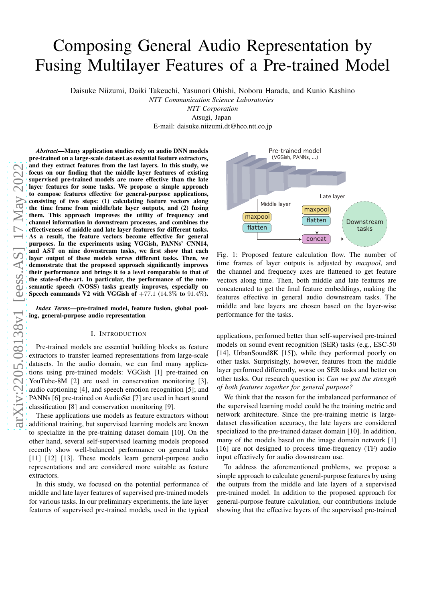# Composing General Audio Representation by Fusing Multilayer Features of a Pre-trained Model

Daisuke Niizumi, Daiki Takeuchi, Yasunori Ohishi, Noboru Harada, and Kunio Kashino

*NTT Communication Science Laboratories*

*NTT Corporation*

Atsugi, Japan E-mail: daisuke.niizumi.dt@hco.ntt.co.jp

*Abstract*—Many application studies rely on audio DNN models pre-trained on a large-scale dataset as essential feature extractors, and they extract features from the last layers. In this study, we focus on our finding that the middle layer features of existing supervised pre-trained models are more effective than the late layer features for some tasks. We propose a simple approach to compose features effective for general-purpose applications, consisting of two steps: (1) calculating feature vectors along the time frame from middle/late layer outputs, and (2) fusing them. This approach improves the utility of frequency and channel information in downstream processes, and combines the effectiveness of middle and late layer features for different tasks. As a result, the feature vectors become effective for general purposes. In the experiments using VGGish, PANNs' CNN14, and AST on nine downstream tasks, we first show that each layer output of these models serves different tasks. Then, we demonstrate that the proposed approach significantly improves their performance and brings it to a level comparable to that of the state-of-the-art. In particular, the performance of the nonsemantic speech (NOSS) tasks greatly improves, especially on Speech commands V2 with VGGish of  $+77.1$  (14.3% to 91.4%).

*Index Terms*—pre-trained model, feature fusion, global pooling, general-purpose audio representation

## I. INTRODUCTION

Pre-trained models are essential building blocks as feature extractors to transfer learned representations from large-scale datasets. In the audio domain, we can find many applications using pre-trained models: VGGish [1] pre-trained on YouTube-8M [2] are used in conservation monitoring [3], audio captioning [4], and speech emotion recognition [5]; and PANNs [6] pre-trained on AudioSet [7] are used in heart sound classification [8] and conservation monitoring [9].

These applications use models as feature extractors without additional training, but supervised learning models are known to specialize in the pre-training dataset domain [10]. On the other hand, several self-supervised learning models proposed recently show well-balanced performance on general tasks [11] [12] [13]. These models learn general-purpose audio representations and are considered more suitable as feature extractors.

In this study, we focused on the potential performance of middle and late layer features of supervised pre-trained models for various tasks. In our preliminary experiments, the late layer features of supervised pre-trained models, used in the typical



Fig. 1: Proposed feature calculation flow. The number of time frames of layer outputs is adjusted by *maxpool*, and the channel and frequency axes are flattened to get feature vectors along time. Then, both middle and late features are concatenated to get the final feature embeddings, making the features effective in general audio downstream tasks. The middle and late layers are chosen based on the layer-wise performance for the tasks.

applications, performed better than self-supervised pre-trained models on sound event recognition (SER) tasks (e.g., ESC-50 [14], UrbanSound8K [15]), while they performed poorly on other tasks. Surprisingly, however, features from the middle layer performed differently, worse on SER tasks and better on other tasks. Our research question is: *Can we put the strength of both features together for general purpose?*

We think that the reason for the imbalanced performance of the supervised learning model could be the training metric and network architecture. Since the pre-training metric is largedataset classification accuracy, the late layers are considered specialized to the pre-trained dataset domain [10]. In addition, many of the models based on the image domain network [1] [16] are not designed to process time-frequency (TF) audio input effectively for audio downstream use.

To address the aforementioned problems, we propose a simple approach to calculate general-purpose features by using the outputs from the middle and late layers of a supervised pre-trained model. In addition to the proposed approach for general-purpose feature calculation, our contributions include showing that the effective layers of the supervised pre-trained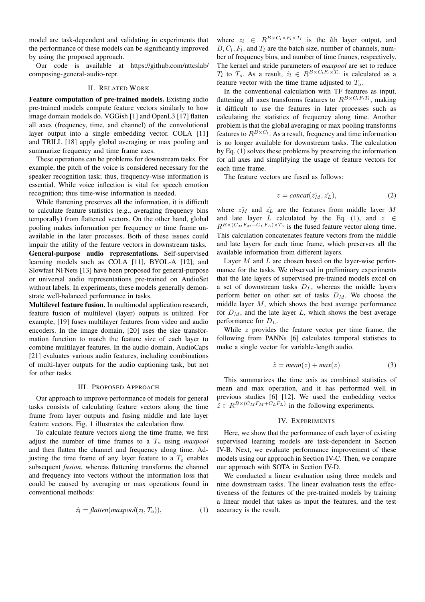model are task-dependent and validating in experiments that the performance of these models can be significantly improved by using the proposed approach.

Our code is available at https://github.com/nttcslab/ composing-general-audio-repr.

## II. RELATED WORK

Feature computation of pre-trained models. Existing audio pre-trained models compute feature vectors similarly to how image domain models do. VGGish [1] and OpenL3 [17] flatten all axes (frequency, time, and channel) of the convolutional layer output into a single embedding vector. COLA [11] and TRILL [18] apply global averaging or max pooling and summarize frequency and time frame axes.

These operations can be problems for downstream tasks. For example, the pitch of the voice is considered necessary for the speaker recognition task; thus, frequency-wise information is essential. While voice inflection is vital for speech emotion recognition; thus time-wise information is needed.

While flattening preserves all the information, it is difficult to calculate feature statistics (e.g., averaging frequency bins temporally) from flattened vectors. On the other hand, global pooling makes information per frequency or time frame unavailable in the later processes. Both of these issues could impair the utility of the feature vectors in downstream tasks. General-purpose audio representations. Self-supervised learning models such as COLA [11], BYOL-A [12], and Slowfast NFNets [13] have been proposed for general-purpose or universal audio representations pre-trained on AudioSet without labels. In experiments, these models generally demonstrate well-balanced performance in tasks.

Multilevel feature fusion. In multimodal application research, feature fusion of multilevel (layer) outputs is utilized. For example, [19] fuses multilayer features from video and audio encoders. In the image domain, [20] uses the size transformation function to match the feature size of each layer to combine multilayer features. In the audio domain, AudioCaps [21] evaluates various audio features, including combinations of multi-layer outputs for the audio captioning task, but not for other tasks.

## III. PROPOSED APPROACH

Our approach to improve performance of models for general tasks consists of calculating feature vectors along the time frame from layer outputs and fusing middle and late layer feature vectors. Fig. 1 illustrates the calculation flow.

To calculate feature vectors along the time frame, we first adjust the number of time frames to a  $T<sub>o</sub>$  using *maxpool* and then flatten the channel and frequency along time. Adjusting the time frame of any layer feature to a  $T<sub>o</sub>$  enables subsequent *fusion*, whereas flattening transforms the channel and frequency into vectors without the information loss that could be caused by averaging or max operations found in conventional methods:

$$
\hat{z}_l = \text{flatten}(\text{maxpool}(z_l, T_o)), \tag{1}
$$

where  $z_l \in R^{B \times C_l \times F_l \times T_l}$  is the *l*th layer output, and  $B, C_l, F_l$ , and  $T_l$  are the batch size, number of channels, number of frequency bins, and number of time frames, respectively. The kernel and stride parameters of *maxpool* are set to reduce  $T_l$  to  $T_o$ . As a result,  $\hat{z}_l \in R^{B \times C_l F_l \times T_o}$  is calculated as a feature vector with the time frame adjusted to  $T<sub>o</sub>$ .

In the conventional calculation with TF features as input, flattening all axes transforms features to  $R^{B\times C_lF_lT_l}$ , making it difficult to use the features in later processes such as calculating the statistics of frequency along time. Another problem is that the global averaging or max pooling transforms features to  $R^{B \times C_l}$ . As a result, frequency and time information is no longer available for downstream tasks. The calculation by Eq. (1) solves these problems by preserving the information for all axes and simplifying the usage of feature vectors for each time frame.

The feature vectors are fused as follows:

$$
z = concat(z_M^{\hat{}}, z_L^{\hat{}}), \tag{2}
$$

where  $z_M^2$  and  $z_L^2$  are the features from middle layer M and late layer L calculated by the Eq. (1), and  $z \in$  $R^{B\times (C_M F_M + C_L F_L)\times T_o}$  is the fused feature vector along time. This calculation concatenates feature vectors from the middle and late layers for each time frame, which preserves all the available information from different layers.

Layer  $M$  and  $L$  are chosen based on the layer-wise performance for the tasks. We observed in preliminary experiments that the late layers of supervised pre-trained models excel on a set of downstream tasks  $D_L$ , whereas the middle layers perform better on other set of tasks  $D_M$ . We choose the middle layer  $M$ , which shows the best average performance for  $D_M$ , and the late layer L, which shows the best average performance for  $D_L$ .

While  $z$  provides the feature vector per time frame, the following from PANNs [6] calculates temporal statistics to make a single vector for variable-length audio.

$$
\tilde{z} = mean(z) + max(z) \tag{3}
$$

This summarizes the time axis as combined statistics of mean and max operation, and it has performed well in previous studies [6] [12]. We used the embedding vector  $\tilde{z} \in R^{B \times (C_M F_M + C_L F_L)}$  in the following experiments.

#### IV. EXPERIMENTS

Here, we show that the performance of each layer of existing supervised learning models are task-dependent in Section IV-B. Next, we evaluate performance improvement of these models using our approach in Section IV-C. Then, we compare our approach with SOTA in Section IV-D.

We conducted a linear evaluation using three models and nine downstream tasks. The linear evaluation tests the effectiveness of the features of the pre-trained models by training a linear model that takes as input the features, and the test accuracy is the result.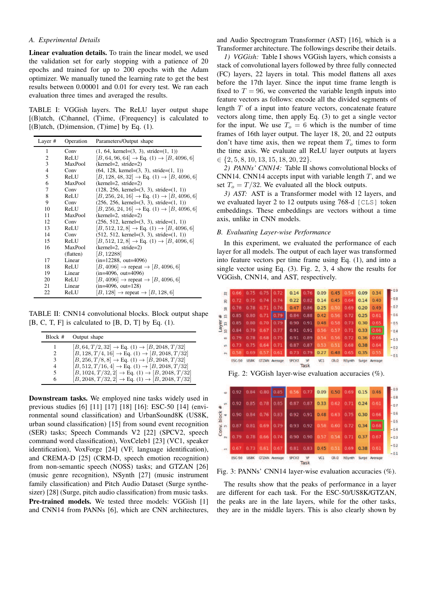## *A. Experimental Details*

Linear evaluation details. To train the linear model, we used the validation set for early stopping with a patience of 20 epochs and trained for up to 200 epochs with the Adam optimizer. We manually tuned the learning rate to get the best results between 0.00001 and 0.01 for every test. We ran each evaluation three times and averaged the results.

TABLE I: VGGish layers. The ReLU layer output shape  $[(B)$ atch,  $(C)$ hannel,  $(T)$ ime,  $(F)$ requency] is calculated to  $[(B)$ atch,  $(D)$ imension,  $(T)$ ime] by Eq.  $(1)$ .

| Layer #        | Operation | Parameters/Output shape                                               |
|----------------|-----------|-----------------------------------------------------------------------|
| 1              | Conv      | $(1, 64, \text{kernel} = (3, 3), \text{stride} = (1, 1))$             |
| $\mathfrak{2}$ | ReLU      | $[B, 64, 96, 64] \rightarrow Eq. (1) \rightarrow [B, 4096, 6]$        |
| 3              | MaxPool   | $(kernel=2, stride=2)$                                                |
| 4              | Conv      | $(64, 128, \text{kernel} = (3, 3), \text{stride} = (1, 1))$           |
| 5              | ReLU      | $[B, 128, 48, 32] \rightarrow Eq. (1) \rightarrow [B, 4096, 6]$       |
| 6              | MaxPool   | $(kernel=2, stride=2)$                                                |
| 7              | Conv      | $(128, 256, \text{kernel} = (3, 3), \text{stride} = (1, 1))$          |
| 8              | ReLU      | $[B, 256, 24, 16] \rightarrow Eq. (1) \rightarrow [B, 4096, 6]$       |
| 9              | Conv      | $(256, 256, \text{kernel} = (3, 3), \text{stride} = (1, 1))$          |
| 10             | ReLU      | $[B, 256, 24, 16] \rightarrow Eq. (1) \rightarrow [B, 4096, 6]$       |
| 11             | MaxPool   | $(kernel=2, stride=2)$                                                |
| 12             | Conv      | $(256, 512, \text{kernel} = (3, 3), \text{stride} = (1, 1))$          |
| 13             | ReLU      | $[B, 512, 12, 8] \rightarrow Eq. (1) \rightarrow [B, 4096, 6]$        |
| 14             | Conv      | $(512, 512, \text{kernel} = (3, 3), \text{stride} = (1, 1))$          |
| 15             | ReLU      | $[B, 512, 12, 8] \rightarrow \text{Eq. (1)} \rightarrow [B, 4096, 6]$ |
| 16             | MaxPool   | $(kernel=2, stride=2)$                                                |
|                | (flatten) | [B, 12288]                                                            |
| 17             | Linear    | $(in=12288, out=4096)$                                                |
| 18             | ReLU      | $[B, 4096] \rightarrow$ repeat $\rightarrow [B, 4096, 6]$             |
| 19             | Linear    | $(in=4096, out=4096)$                                                 |
| 20             | ReLU      | $[B, 4096] \rightarrow$ repeat $\rightarrow [B, 4096, 6]$             |
| 21             | Linear    | $(in=4096, out=128)$                                                  |
| 22             | ReLU      | $[B, 128] \rightarrow$ repeat $\rightarrow [B, 128, 6]$               |

TABLE II: CNN14 convolutional blocks. Block output shape  $[B, C, T, F]$  is calculated to  $[B, D, T]$  by Eq. (1).

| Block# | Output shape                                                         |
|--------|----------------------------------------------------------------------|
|        | $[B, 64, T/2, 32] \rightarrow Eq. (1) \rightarrow [B, 2048, T/32]$   |
| 2      | $[B, 128, T/4, 16] \rightarrow Eq. (1) \rightarrow [B, 2048, T/32]$  |
| 3      | $[B, 256, T/8, 8] \rightarrow Eq. (1) \rightarrow [B, 2048, T/32]$   |
| 4      | $[B, 512, T/16, 4] \rightarrow Eq. (1) \rightarrow [B, 2048, T/32]$  |
| 5      | $[B, 1024, T/32, 2] \rightarrow Eq. (1) \rightarrow [B, 2048, T/32]$ |
| 6      | $[B, 2048, T/32, 2] \rightarrow Eq. (1) \rightarrow [B, 2048, T/32]$ |

Downstream tasks. We employed nine tasks widely used in previous studies [6] [11] [17] [18] [16]: ESC-50 [14] (environmental sound classification) and UrbanSound8K (US8K, urban sound classification) [15] from sound event recognition (SER) tasks; Speech Commands V2 [22] (SPCV2, speech command word classification), VoxCeleb1 [23] (VC1, speaker identification), VoxForge [24] (VF, language identification), and CREMA-D [25] (CRM-D, speech emotion recognition) from non-semantic speech (NOSS) tasks; and GTZAN [26] (music genre recognition), NSynth [27] (music instrument family classification) and Pitch Audio Dataset (Surge synthesizer) [28] (Surge, pitch audio classification) from music tasks. Pre-trained models. We tested three models: VGGish [1] and CNN14 from PANNs [6], which are CNN architectures,

and Audio Spectrogram Transformer (AST) [16], which is a Transformer architecture. The followings describe their details.

*1) VGGish:* Table I shows VGGish layers, which consists a stack of convolutional layers followed by three fully connected (FC) layers, 22 layers in total. This model flattens all axes before the 17th layer. Since the input time frame length is fixed to  $T = 96$ , we converted the variable length inputs into feature vectors as follows: encode all the divided segments of length  $T$  of a input into feature vectors, concatenate feature vectors along time, then apply Eq. (3) to get a single vector for the input. We use  $T<sub>o</sub> = 6$  which is the number of time frames of 16th layer output. The layer 18, 20, and 22 outputs don't have time axis, then we repeat them  $T<sub>o</sub>$  times to form the time axis. We evaluate all ReLU layer outputs at layers  $\in \{2, 5, 8, 10, 13, 15, 18, 20, 22\}.$ 

*2) PANNs' CNN14:* Table II shows convolutional blocks of CNN14. CNN14 accepts input with variable length  $T$ , and we set  $T_o = T/32$ . We evaluated all the block outputs.

*3) AST:* AST is a Transformer model with 12 layers, and we evaluated layer 2 to 12 outputs using 768-d [CLS] token embeddings. These embeddings are vectors without a time axis, unlike in CNN models.

# *B. Evaluating Layer-wise Performance*

In this experiment, we evaluated the performance of each layer for all models. The output of each layer was transformed into feature vectors per time frame using Eq. (1), and into a single vector using Eq. (3). Fig. 2, 3, 4 show the results for VGGish, CNN14, and AST, respectively.

| $\tilde{z}$    |               | 0.66 0.75 0.75       |           | 0.72                 |                   | $0.14$ 0.76   | 0.09 | 0.45   | 0.54          | 0.09 | 0.34          | $-0.9$ |
|----------------|---------------|----------------------|-----------|----------------------|-------------------|---------------|------|--------|---------------|------|---------------|--------|
| $\mathbb{R}$   | 0.72          |                      | 0.75 0.74 | 10.74                | 0.22              | 0.82          | 0.14 | 0.45   | 0.64          | 0.14 | 0.40          | $-0.8$ |
| - 23           |               | 0.78 0.78 0.71       |           | 0.76                 | 0.47              | 0.86          | 0.25 | 0.50   | 0.69          | 0.20 | 0.49          | $-0.7$ |
| # 9            | 0.85          |                      | 0.80 0.71 | 10.79                |                   | $0.84 - 0.88$ | 0.42 | 0.56   | 0.72          | 0.25 | 0.61          | $-0.6$ |
|                |               | $0.85$ $0.80$ $0.70$ |           | 0.79                 | 0.90              | 0.91          | 0.48 | 0.58   | 0.73          | 0.30 | 0.65          | $-0.5$ |
| Layer<br>10 13 |               | 0.84 0.79 0.67       |           | 0.77                 |                   | $0.91$ $0.91$ | 0.56 | 0.57   | 0.71          | 0.33 | 0.66          | $-0.4$ |
| œ              | 0.79          | 0.78                 | 0.68      | 0.75                 | 0.91              | 0.89          | 0.54 | 0.56   | 0.72          | 0.36 | 0.66          | $-0.3$ |
| in.            | 0.73          |                      | 0.75 0.64 | 0.71                 | 0.87              | 0.87          | 0.53 | 0.51   | 0.68          | 0.38 | 0.64          | $-0.2$ |
| $\overline{N}$ | 0.58          | 0.69                 | 0.57      | 0.61                 | 0.73              | 0.79          | 0.27 | 0.48   | 0.65          | 0.35 | 0.55          | $-0.1$ |
|                | <b>ESC-50</b> | US8K                 |           | <b>GTZAN Average</b> | SPCV <sub>2</sub> | VF<br>Task    | VC1  | $CR-D$ | <b>NSynth</b> |      | Surge Average |        |

Fig. 2: VGGish layer-wise evaluation accuracies  $(\% )$ .



Fig. 3: PANNs' CNN14 layer-wise evaluation accuracies  $(\%).$ 

The results show that the peaks of performance in a layer are different for each task. For the ESC-50/US8K/GTZAN, the peaks are in the late layers, while for the other tasks, they are in the middle layers. This is also clearly shown by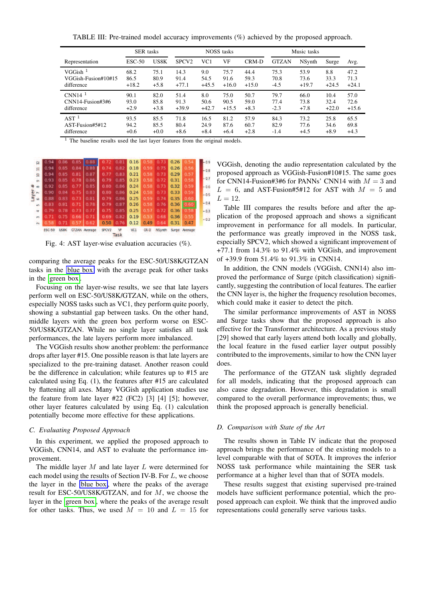TABLE III: Pre-trained model accuracy improvements (%) achieved by the proposed approach.

|                       | <b>SER</b> tasks |        | <b>NOSS</b> tasks |                 |         |         | Music tasks  |         |         |         |
|-----------------------|------------------|--------|-------------------|-----------------|---------|---------|--------------|---------|---------|---------|
| Representation        | $\text{ESC-50}$  | US8K   | SPCV <sub>2</sub> | VC <sub>1</sub> | VF      | CRM-D   | <b>GTZAN</b> | NSynth  | Surge   | Avg.    |
| $VGGish$ <sup>1</sup> | 68.2             | 75.1   | 14.3              | 9.0             | 75.7    | 44.4    | 75.3         | 53.9    | 8.8     | 47.2    |
| VGGish-Fusion#10#15   | 86.5             | 80.9   | 91.4              | 54.5            | 91.6    | 59.3    | 70.8         | 73.6    | 33.3    | 71.3    |
| difference            | $+18.2$          | $+5.8$ | $+77.1$           | $+45.5$         | $+16.0$ | $+15.0$ | -4.5         | $+19.7$ | $+24.5$ | $+24.1$ |
| CNN14 $1$             | 90.1             | 82.0   | 51.4              | 8.0             | 75.0    | 50.7    | 79.7         | 66.0    | 10.4    | 57.0    |
| $CNN14-Fusion#3#6$    | 93.0             | 85.8   | 91.3              | 50.6            | 90.5    | 59.0    | 77.4         | 73.8    | 32.4    | 72.6    |
| difference            | $+2.9$           | $+3.8$ | $+39.9$           | $+42.7$         | $+15.5$ | $+8.3$  | $-2.3$       | $+7.8$  | $+22.0$ | $+15.6$ |
| AST <sup>1</sup>      | 93.5             | 85.5   | 71.8              | 16.5            | 81.2    | 57.9    | 84.3         | 73.2    | 25.8    | 65.5    |
| AST-Fusion#5#12       | 94.2             | 85.5   | 80.4              | 24.9            | 87.6    | 60.7    | 82.9         | 77.6    | 34.6    | 69.8    |
| difference            | $+0.6$           | $+0.0$ | $+8.6$            | $+8.4$          | $+6.4$  | $+2.8$  | $-1.4$       | $+4.5$  | $+8.9$  | $+4.3$  |

 $1$  The baseline results used the last layer features from the original models.



Fig. 4: AST layer-wise evaluation accuracies (%).

comparing the average peaks for the ESC-50/US8K/GTZAN tasks in the blue box with the average peak for other tasks in the  $\sqrt{\text{green box}}$ 

Focusing on the layer-wise results, we see that late layers perform well on ESC-50/US8K/GTZAN, while on the others, especially NOSS tasks such as VC1, they perform quite poorly, showing a substantial gap between tasks. On the other hand, middle layers with the green box perform worse on ESC-50/US8K/GTZAN. While no single layer satisfies all task performances, the late layers perform more imbalanced.

The VGGish results show another problem: the performance drops after layer #15. One possible reason is that late layers are specialized to the pre-training dataset. Another reason could be the difference in calculation; while features up to #15 are calculated using Eq. (1), the features after #15 are calculated by flattening all axes. Many VGGish application studies use the feature from late layer #22 (FC2) [3] [4] [5]; however, other layer features calculated by using Eq. (1) calculation potentially become more effective for these applications.

## *C. Evaluating Proposed Approach*

In this experiment, we applied the proposed approach to VGGish, CNN14, and AST to evaluate the performance improvement.

The middle layer  $M$  and late layer  $L$  were determined for each model using the results of Section IV-B. For L, we choose the layer in the blue box, where the peaks of the average result for ESC-50/US8K/GTZAN, and for M, we choose the layer in the  $\sqrt{\text{green box}}$ , where the peaks of the average result for other tasks. Thus, we used  $M = 10$  and  $L = 15$  for VGGish, denoting the audio representation calculated by the proposed approach as VGGish-Fusion#10#15. The same goes for CNN14-Fusion#3#6 for PANNs' CNN14 with  $M = 3$  and  $L = 6$ , and AST-Fusion#5#12 for AST with  $M = 5$  and  $L = 12.$ 

Table III compares the results before and after the application of the proposed approach and shows a significant improvement in performance for all models. In particular, the performance was greatly improved in the NOSS task, especially SPCV2, which showed a significant improvement of +77.1 from 14.3% to 91.4% with VGGish, and improvement of +39.9 from 51.4% to 91.3% in CNN14.

In addition, the CNN models (VGGish, CNN14) also improved the performance of Surge (pitch classification) significantly, suggesting the contribution of local features. The earlier the CNN layer is, the higher the frequency resolution becomes, which could make it easier to detect the pitch.

The similar performance improvements of AST in NOSS and Surge tasks show that the proposed approach is also effective for the Transformer architecture. As a previous study [29] showed that early layers attend both locally and globally, the local feature in the fused earlier layer output possibly contributed to the improvements, similar to how the CNN layer does.

The performance of the GTZAN task slightly degraded for all models, indicating that the proposed approach can also cause degradation. However, this degradation is small compared to the overall performance improvements; thus, we think the proposed approach is generally beneficial.

## *D. Comparison with State of the Art*

The results shown in Table IV indicate that the proposed approach brings the performance of the existing models to a level comparable with that of SOTA. It improves the inferior NOSS task performance while maintaining the SER task performance at a higher level than that of SOTA models.

These results suggest that existing supervised pre-trained models have sufficient performance potential, which the proposed approach can exploit. We think that the improved audio representations could generally serve various tasks.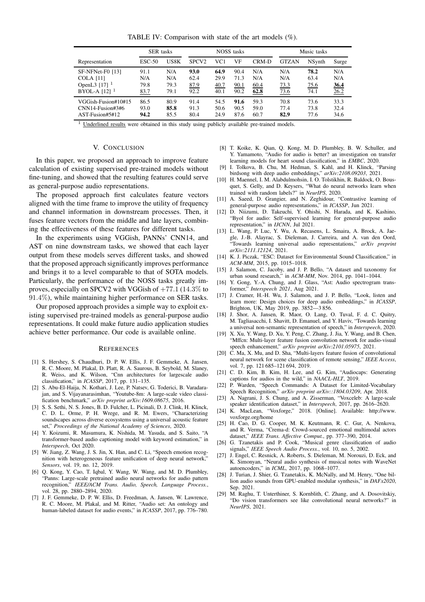TABLE IV: Comparison with state of the art models (%).

|                            | <b>SER</b> tasks |      | <b>NOSS</b> tasks |      |      |       | Music tasks  |                |             |
|----------------------------|------------------|------|-------------------|------|------|-------|--------------|----------------|-------------|
| Representation             | $ESC-50$         | US8K | SPCV <sub>2</sub> | VC1  | VF   | CRM-D | <b>GTZAN</b> | <b>NS</b> vnth | Surge       |
| SF-NFNet-F0 [13]           | 91.1             | N/A  | 93.0              | 64.9 | 90.4 | N/A   | N/A          | 78.2           | N/A         |
| <b>COLA</b> [11]           | N/A              | N/A  | 62.4              | 29.9 | 71.3 | N/A   | N/A          | 63.4           | N/A         |
| OpenL3 $[17]$ <sup>1</sup> | 79.8             | 79.3 | 87.9              | 40.7 | 90.1 | 60.4  | 73.3         | 75.6           | <u>36.4</u> |
| BYOL-A $[12]$ <sup>1</sup> | 83.7             | 79.1 | 92.2              | 40.1 | 90.2 | 62.8  | 73.6         | 74.1           | 26.2        |
| VGGish-Fusion#10#15        | 86.5             | 80.9 | 91.4              | 54.5 | 91.6 | 59.3  | 70.8         | 73.6           | 33.3        |
| $CNN14-Fusion#3#6$         | 93.0             | 85.8 | 91.3              | 50.6 | 90.5 | 59.0  | 77.4         | 73.8           | 32.4        |
| AST-Fusion#5#12            | 94.2             | 85.5 | 80.4              | 24.9 | 87.6 | 60.7  | 82.9         | 77.6           | 34.6        |

<sup>1</sup> Underlined results were obtained in this study using publicly available pre-trained models.

## V. CONCLUSION

In this paper, we proposed an approach to improve feature calculation of existing supervised pre-trained models without fine-tuning, and showed that the resulting features could serve as general-purpose audio representations.

The proposed approach first calculates feature vectors aligned with the time frame to improve the utility of frequency and channel information in downstream processes. Then, it fuses feature vectors from the middle and late layers, combining the effectiveness of these features for different tasks.

In the experiments using VGGish, PANNs' CNN14, and AST on nine downstream tasks, we showed that each layer output from these models serves different tasks, and showed that the proposed approach significantly improves performance and brings it to a level comparable to that of SOTA models. Particularly, the performance of the NOSS tasks greatly improves, especially on SPCV2 with VGGish of +77.1 (14.3% to 91.4%), while maintaining higher performance on SER tasks.

Our proposed approach provides a simple way to exploit existing supervised pre-trained models as general-purpose audio representations. It could make future audio application studies achieve better performance. Our code is available online.

#### **REFERENCES**

- [1] S. Hershey, S. Chaudhuri, D. P. W. Ellis, J. F. Gemmeke, A. Jansen, R. C. Moore, M. Plakal, D. Platt, R. A. Saurous, B. Seybold, M. Slaney, R. Weiss, and K. Wilson, "Cnn architectures for largescale audio classification," in *ICASSP*, 2017, pp. 131–135.
- [2] S. Abu-El-Haija, N. Kothari, J. Lee, P. Natsev, G. Toderici, B. Varadarajan, and S. Vijayanarasimhan, "Youtube-8m: A large-scale video classification benchmark," *arXiv preprint arXiv:1609.08675*, 2016.
- [3] S. S. Sethi, N. S. Jones, B. D. Fulcher, L. Picinali, D. J. Clink, H. Klinck, C. D. L. Orme, P. H. Wrege, and R. M. Ewers, "Characterizing soundscapes across diverse ecosystems using a universal acoustic feature set," *Proceedings of the National Academy of Sciences*, 2020.
- [4] Y. Koizumi, R. Masumura, K. Nishida, M. Yasuda, and S. Saito, "A transformer-based audio captioning model with keyword estimation," in *Interspeech*, Oct 2020.
- [5] W. Jiang, Z. Wang, J. S. Jin, X. Han, and C. Li, "Speech emotion recognition with heterogeneous feature unification of deep neural network, *Sensors*, vol. 19, no. 12, 2019.
- [6] Q. Kong, Y. Cao, T. Iqbal, Y. Wang, W. Wang, and M. D. Plumbley, "Panns: Large-scale pretrained audio neural networks for audio pattern recognition," *IEEE/ACM Trans. Audio, Speech, Language Process.*, vol. 28, pp. 2880–2894, 2020.
- [7] J. F. Gemmeke, D. P. W. Ellis, D. Freedman, A. Jansen, W. Lawrence, R. C. Moore, M. Plakal, and M. Ritter, "Audio set: An ontology and human-labeled dataset for audio events," in *ICASSP*, 2017, pp. 776–780.
- [8] T. Koike, K. Qian, Q. Kong, M. D. Plumbley, B. W. Schuller, and Y. Yamamoto, "Audio for audio is better? an investigation on transfer learning models for heart sound classification," in *EMBC*, 2020.
- [9] I. Tolkova, B. Chu, M. Hedman, S. Kahl, and H. Klinck, "Parsing birdsong with deep audio embeddings," *arXiv:2108.09203*, 2021.
- [10] H. Maennel, I. M. Alabdulmohsin, I. O. Tolstikhin, R. Baldock, O. Bousquet, S. Gelly, and D. Keysers, "What do neural networks learn when trained with random labels?" in *NeurIPS*, 2020.
- [11] A. Saeed, D. Grangier, and N. Zeghidour, "Contrastive learning of general-purpose audio representations," in *ICASSP*, Jun 2021.
- [12] D. Niizumi, D. Takeuchi, Y. Ohishi, N. Harada, and K. Kashino, "Byol for audio: Self-supervised learning for general-purpose audio representation," in *IJCNN*, Jul 2021.
- [13] L. Wang, P. Luc, Y. Wu, A. Recasens, L. Smaira, A. Brock, A. Jaegle, J.-B. Alayrac, S. Dieleman, J. Carreira, and A. van den Oord, "Towards learning universal audio representations," *arXiv preprint arXiv:2111.12124*, 2021.
- [14] K. J. Piczak, "ESC: Dataset for Environmental Sound Classification," in *ACM-MM*, 2015, pp. 1015–1018.
- [15] J. Salamon, C. Jacoby, and J. P. Bello, "A dataset and taxonomy for urban sound research," in *ACM-MM*, Nov. 2014, pp. 1041–1044.
- [16] Y. Gong, Y.-A. Chung, and J. Glass, "Ast: Audio spectrogram transformer," *Interspeech 2021*, Aug 2021.
- [17] J. Cramer, H.-H. Wu, J. Salamon, and J. P. Bello, "Look, listen and learn more: Design choices for deep audio embeddings," in *ICASSP*, Brighton, UK, May 2019, pp. 3852––3 856.
- [18] J. Shor, A. Jansen, R. Maor, O. Lang, O. Tuval, F. d. C. Quitry, M. Tagliasacchi, I. Shavitt, D. Emanuel, and Y. Haviv, "Towards learning a universal non-semantic representation of speech," in *Interspeech*, 2020.
- [19] X. Xu, Y. Wang, D. Xu, Y. Peng, C. Zhang, J. Jia, Y. Wang, and B. Chen, "Mffcn: Multi-layer feature fusion convolution network for audio-visual speech enhancement," *arXiv preprint arXiv:2101.05975*, 2021.
- [20] C. Ma, X. Mu, and D. Sha, "Multi-layers feature fusion of convolutional neural network for scene classification of remote sensing," *IEEE Access*, vol. 7, pp. 121 685–121 694, 2019.
- [21] C. D. Kim, B. Kim, H. Lee, and G. Kim, "Audiocaps: Generating captions for audios in the wild," in *NAACL-HLT*, 2019.
- [22] P. Warden, "Speech Commands: A Dataset for Limited-Vocabulary Speech Recognition," *arXiv preprint arXiv::1804.03209*, Apr. 2018.
- [23] A. Nagrani, J. S. Chung, and A. Zisserman, "Voxceleb: A large-scale speaker identification dataset," in *Interspeech*, 2017, pp. 2616–2620.
- [24] K. MacLean, "Voxforge," 2018. [Online]. Available: http://www. voxforge.org/home
- [25] H. Cao, D. G. Cooper, M. K. Keutmann, R. C. Gur, A. Nenkova, and R. Verma, "Crema-d: Crowd-sourced emotional multimodal actors dataset," *IEEE Trans. Affective Comput.*, pp. 377–390, 2014.
- [26] G. Tzanetakis and P. Cook, "Musical genre classification of audio signals," *IEEE Speech Audio Process.*, vol. 10, no. 5, 2002.
- [27] J. Engel, C. Resnick, A. Roberts, S. Dieleman, M. Norouzi, D. Eck, and K. Simonyan, "Neural audio synthesis of musical notes with WaveNet autoencoders," in *ICML*, 2017, pp. 1068–1077.
- [28] J. Turian, J. Shier, G. Tzanetakis, K. McNally, and M. Henry, "One billion audio sounds from GPU-enabled modular synthesis," in *DAFx2020*, Sep. 2021.
- [29] M. Raghu, T. Unterthiner, S. Kornblith, C. Zhang, and A. Dosovitskiy, "Do vision transformers see like convolutional neural networks?" in *NeurIPS*, 2021.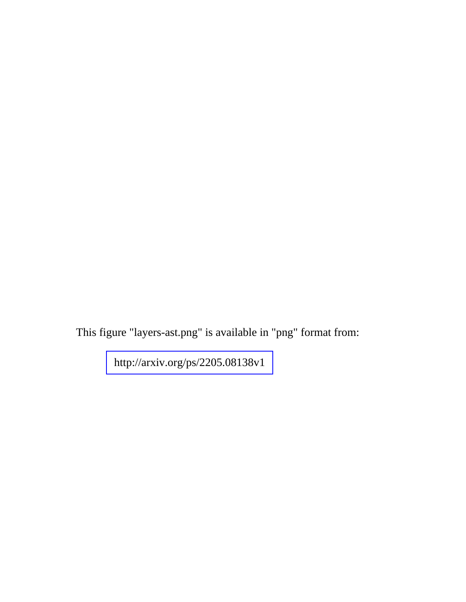This figure "layers-ast.png" is available in "png" format from:

<http://arxiv.org/ps/2205.08138v1>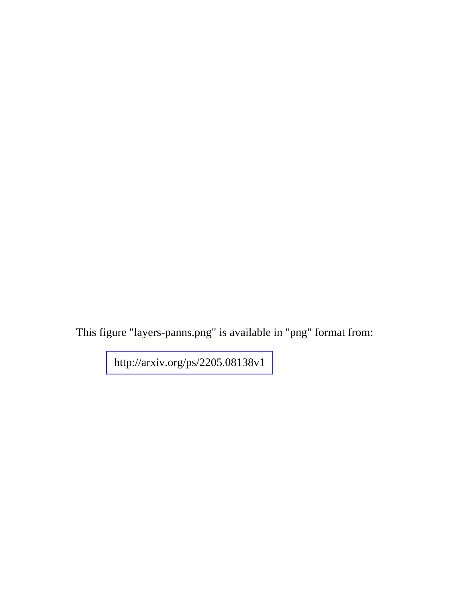This figure "layers-panns.png" is available in "png" format from:

<http://arxiv.org/ps/2205.08138v1>